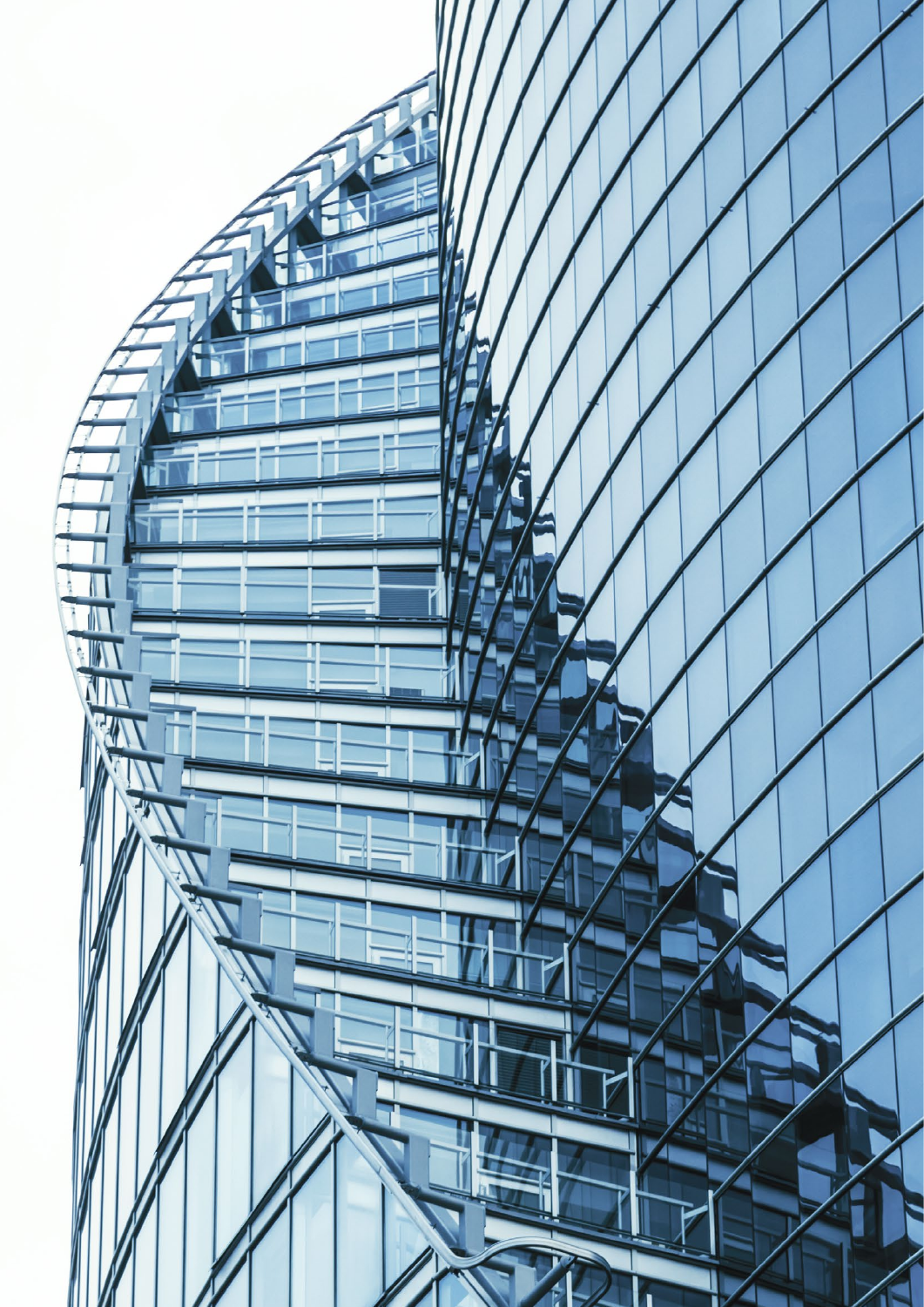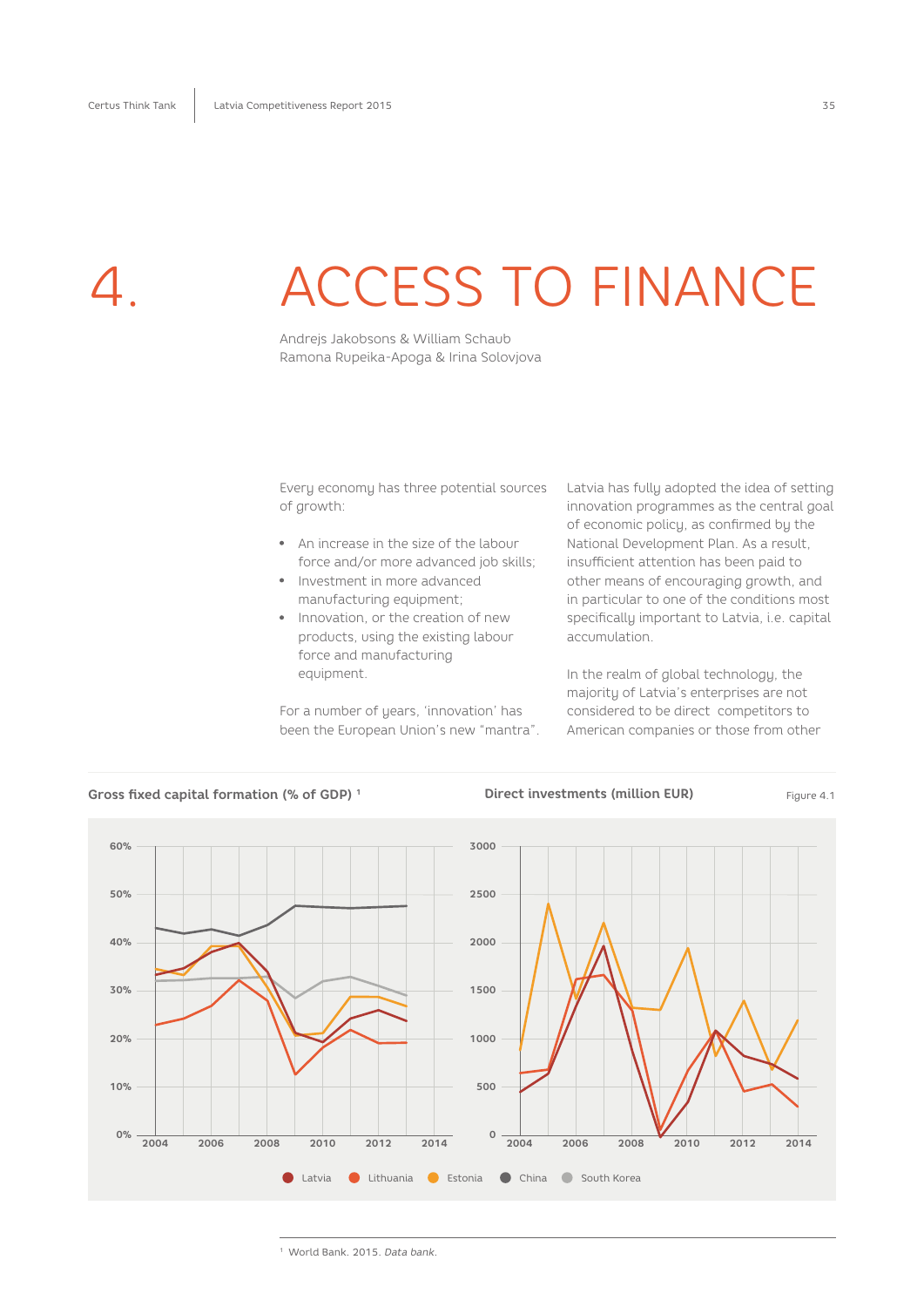4.

# ACCESS TO FINANCE

Andrejs Jakobsons & William Schaub Ramona Rupeika-Apoga & Irina Solovjova

Every economy has three potential sources of growth:

- An increase in the size of the labour force and/or more advanced job skills;
- Investment in more advanced manufacturing equipment;
- Innovation, or the creation of new products, using the existing labour force and manufacturing equipment.

For a number of years, 'innovation' has been the European Union's new "mantra". Latvia has fully adopted the idea of setting innovation programmes as the central goal of economic policy, as confirmed by the National Development Plan. As a result, insufficient attention has been paid to other means of encouraging growth, and in particular to one of the conditions most specifically important to Latvia, i.e. capital accumulation.

In the realm of global technology, the majority of Latvia's enterprises are not considered to be direct competitors to American companies or those from other



<sup>1</sup> World Bank. 2015. *Data bank*.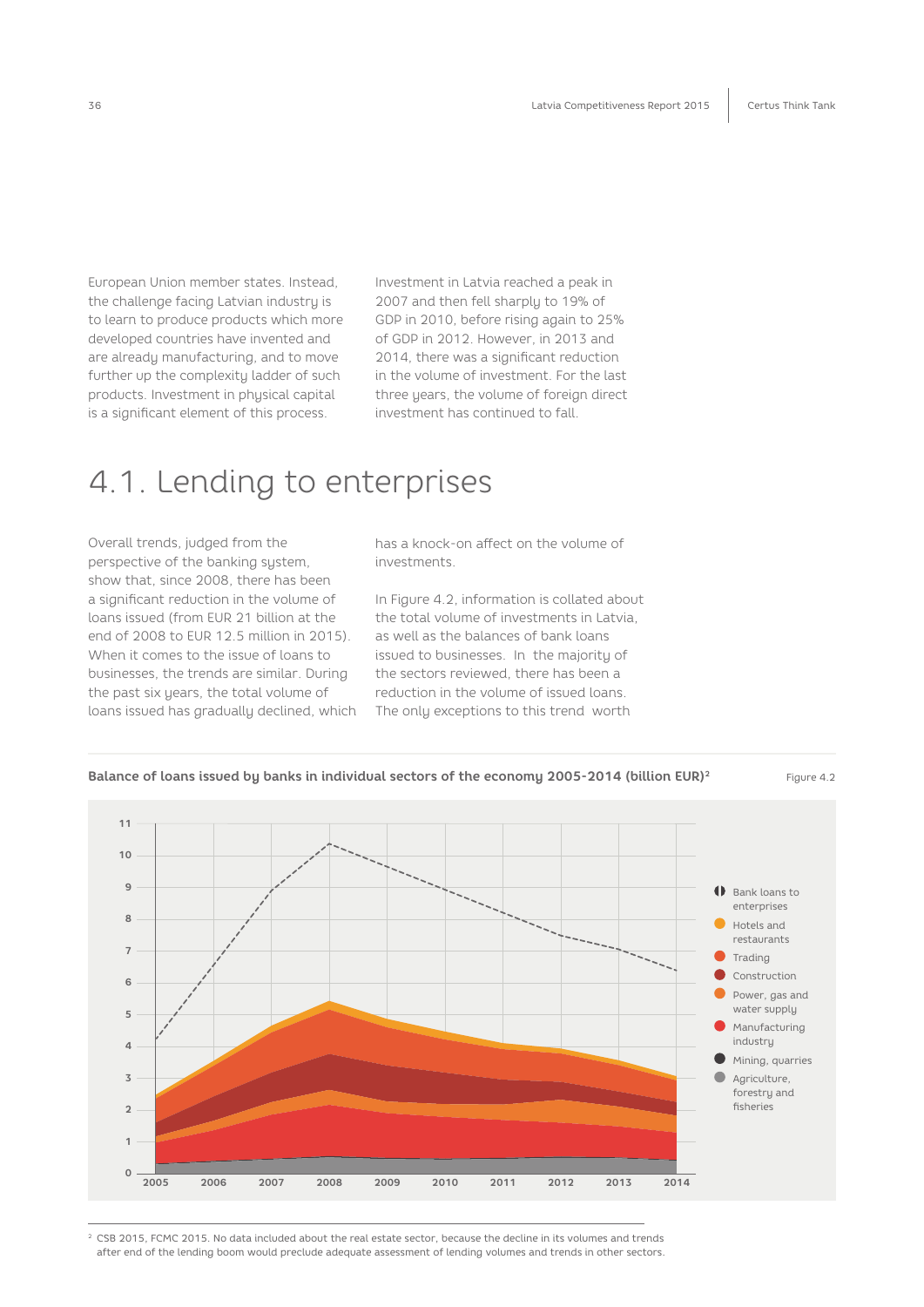European Union member states. Instead, the challenge facing Latvian industry is to learn to produce products which more developed countries have invented and are already manufacturing, and to move further up the complexity ladder of such products. Investment in physical capital is a significant element of this process.

Investment in Latvia reached a peak in 2007 and then fell sharply to 19% of GDP in 2010, before rising again to 25% of GDP in 2012. However, in 2013 and 2014, there was a significant reduction in the volume of investment. For the last three years, the volume of foreign direct investment has continued to fall.

# 4.1. Lending to enterprises

Overall trends, judged from the perspective of the banking system, show that, since 2008, there has been a significant reduction in the volume of loans issued (from EUR 21 billion at the end of 2008 to EUR 12.5 million in 2015). When it comes to the issue of loans to businesses, the trends are similar. During the past six years, the total volume of loans issued has gradually declined, which has a knock-on affect on the volume of investments.

In Figure 4.2, information is collated about the total volume of investments in Latvia, as well as the balances of bank loans issued to businesses. In the majority of the sectors reviewed, there has been a reduction in the volume of issued loans. The only exceptions to this trend worth







<sup>2</sup> CSB 2015, FCMC 2015. No data included about the real estate sector, because the decline in its volumes and trends after end of the lending boom would preclude adequate assessment of lending volumes and trends in other sectors.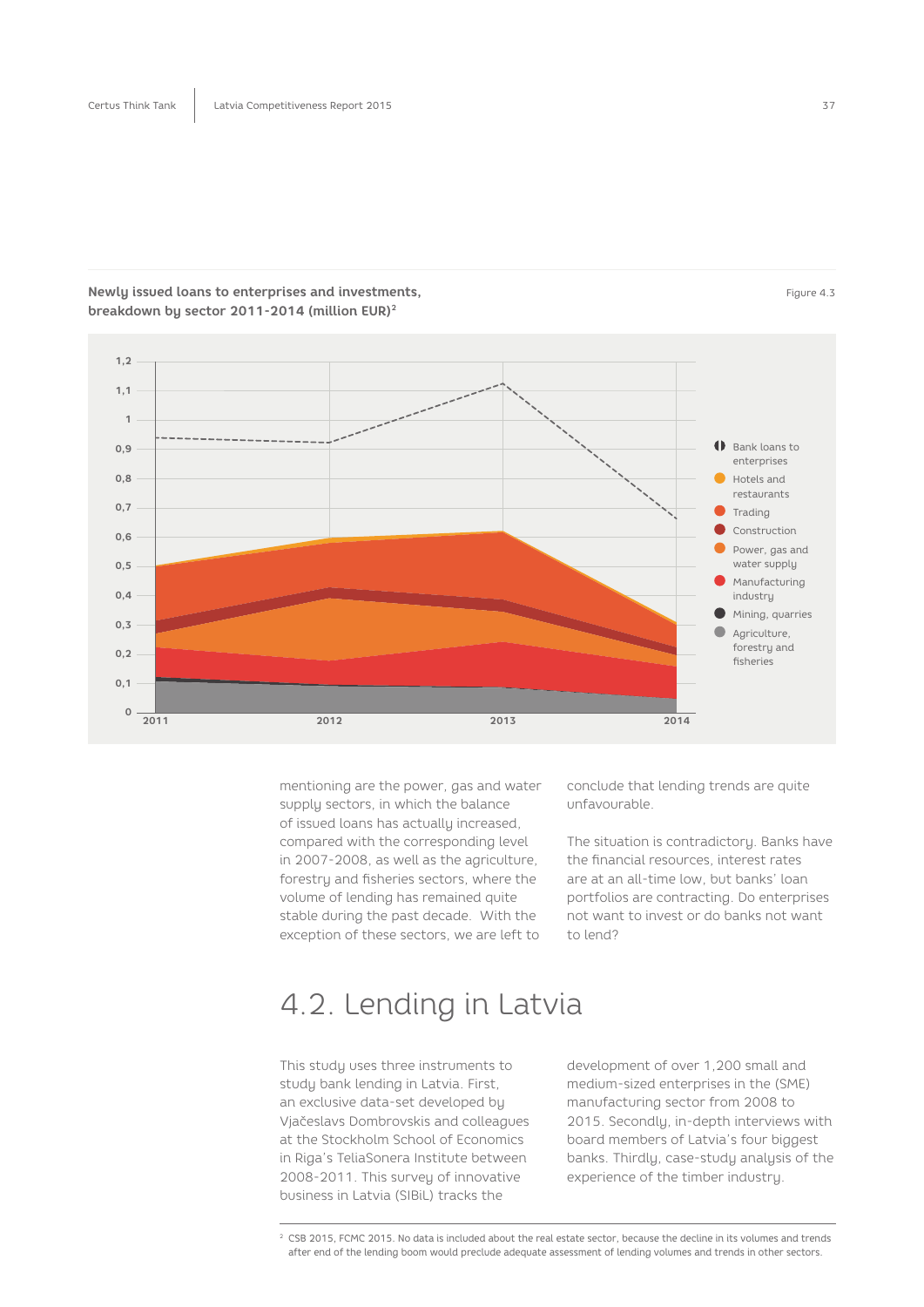#### **Newly issued loans to enterprises and investments, breakdown by sector 2011-2014 (million EUR)2**



mentioning are the power, gas and water supply sectors, in which the balance of issued loans has actually increased, compared with the corresponding level in 2007-2008, as well as the agriculture, forestry and fisheries sectors, where the volume of lending has remained quite stable during the past decade. With the exception of these sectors, we are left to

conclude that lending trends are quite unfavourable.

The situation is contradictory. Banks have the financial resources, interest rates are at an all-time low, but banks' loan portfolios are contracting. Do enterprises not want to invest or do banks not want to lend?

# 4.2. Lending in Latvia

This study uses three instruments to study bank lending in Latvia. First, an exclusive data-set developed by Vjačeslavs Dombrovskis and colleagues at the Stockholm School of Economics in Riga's TeliaSonera Institute between 2008-2011. This survey of innovative business in Latvia (SIBiL) tracks the

development of over 1,200 small and medium-sized enterprises in the (SME) manufacturing sector from 2008 to 2015. Secondly, in-depth interviews with board members of Latvia's four biggest banks. Thirdly, case-study analysis of the experience of the timber industry.

<sup>2</sup> CSB 2015, FCMC 2015. No data is included about the real estate sector, because the decline in its volumes and trends after end of the lending boom would preclude adequate assessment of lending volumes and trends in other sectors.

Figure 4.3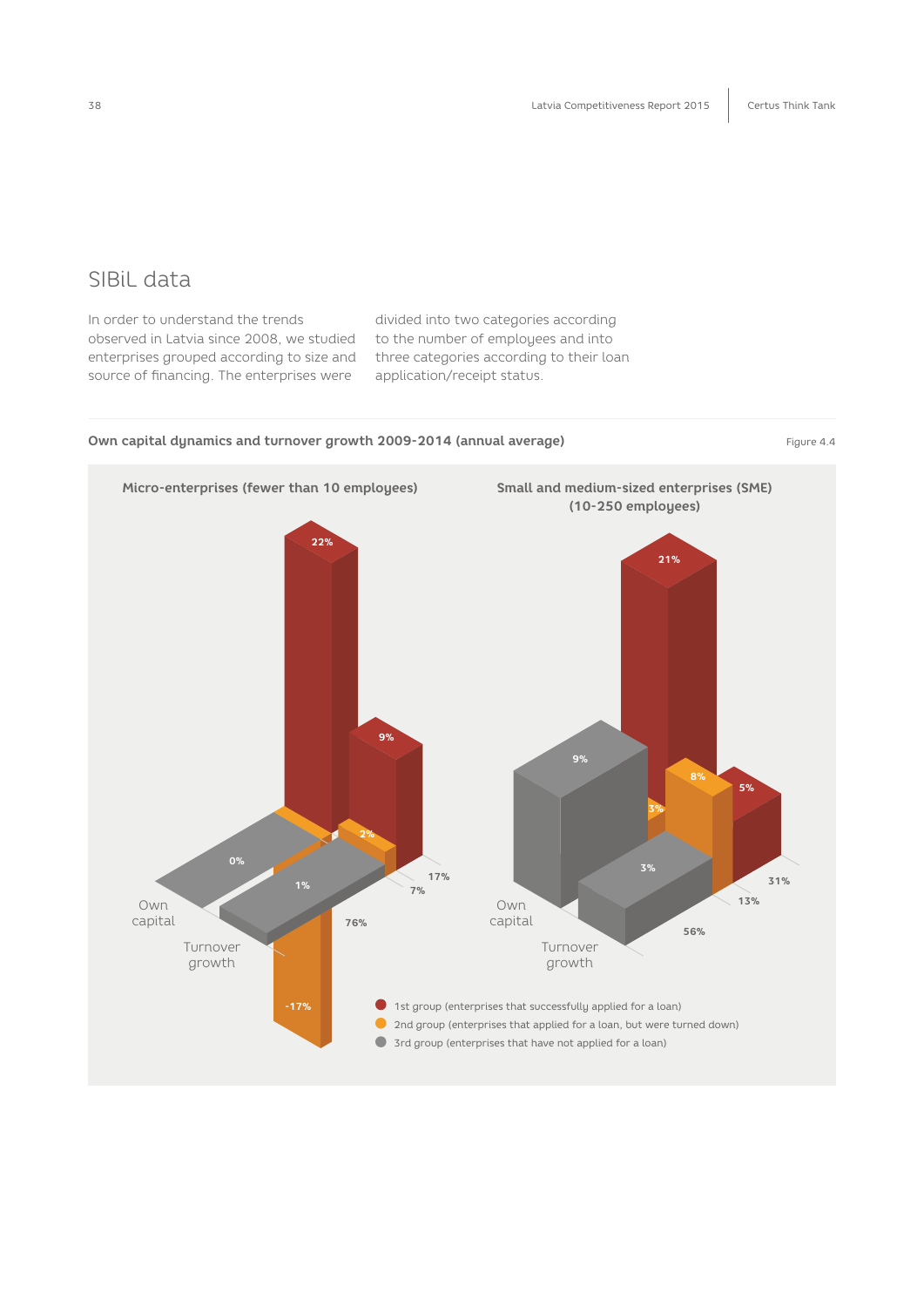### SIBiL data

In order to understand the trends observed in Latvia since 2008, we studied enterprises grouped according to size and source of financing. The enterprises were

divided into two categories according to the number of employees and into three categories according to their loan application/receipt status.

#### **Own capital dynamics and turnover growth 2009-2014 (annual average)** Figure 4.4

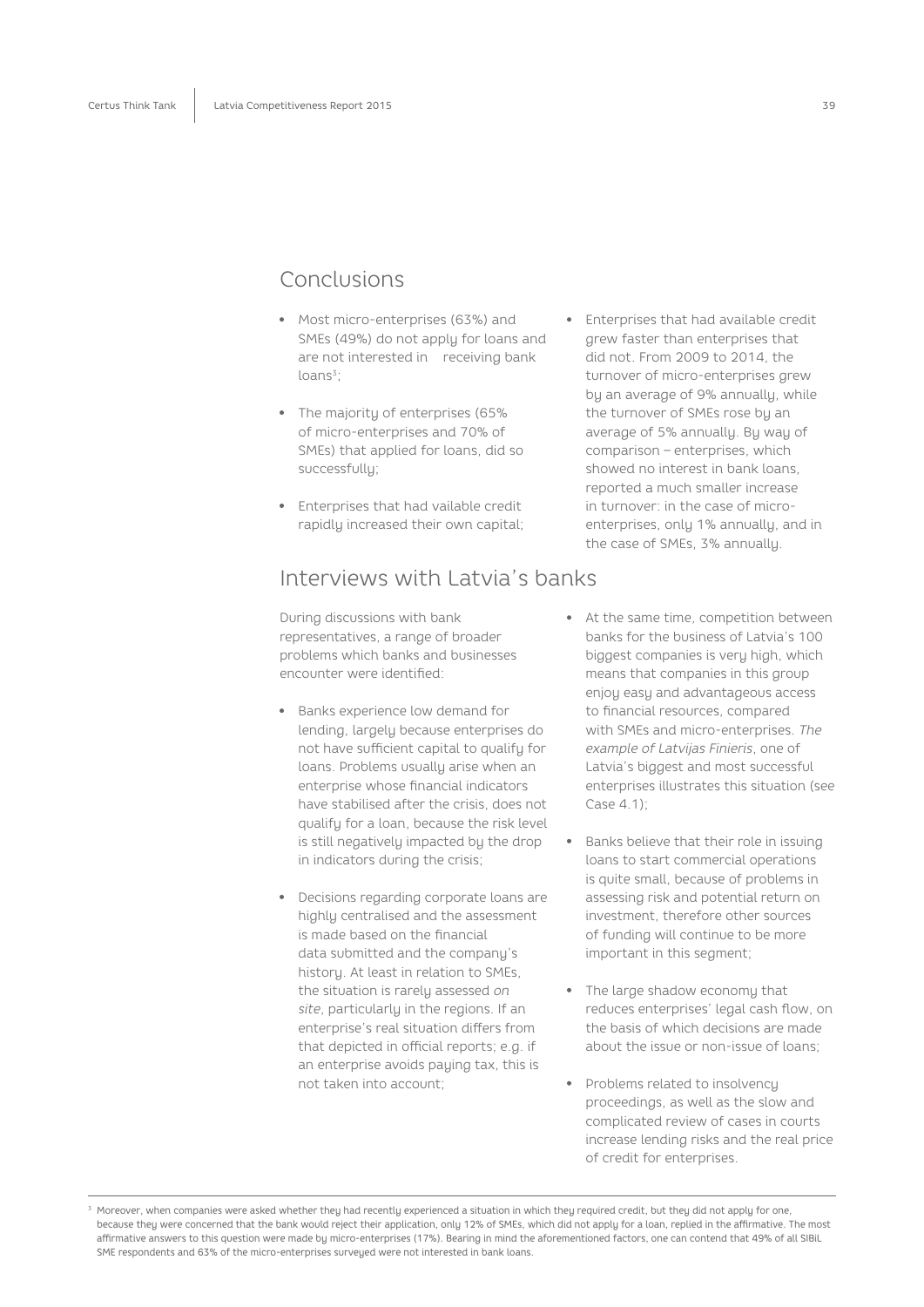### Conclusions

- Most micro-enterprises (63%) and SMEs (49%) do not apply for loans and are not interested in receiving bank loans<sup>3</sup>:
- The majority of enterprises (65% of micro-enterprises and 70% of SMEs) that applied for loans, did so successfully;
- Enterprises that had vailable credit rapidly increased their own capital;

### Interviews with Latvia's banks

During discussions with bank representatives, a range of broader problems which banks and businesses encounter were identified:

- Banks experience low demand for lending, largely because enterprises do not have sufficient capital to qualify for loans. Problems usually arise when an enterprise whose financial indicators have stabilised after the crisis, does not qualify for a loan, because the risk level is still negatively impacted by the drop in indicators during the crisis;
- Decisions regarding corporate loans are highly centralised and the assessment is made based on the financial data submitted and the company's history. At least in relation to SMEs, the situation is rarely assessed *on site*, particularly in the regions. If an enterprise's real situation differs from that depicted in official reports; e.g. if an enterprise avoids pauing tax, this is not taken into account;
- Enterprises that had available credit grew faster than enterprises that did not. From 2009 to 2014, the turnover of micro-enterprises grew by an average of 9% annually, while the turnover of SMEs rose by an average of 5% annually. By way of comparison – enterprises, which showed no interest in bank loans, reported a much smaller increase in turnover: in the case of microenterprises, only 1% annually, and in the case of SMEs, 3% annually.
- At the same time, competition between banks for the business of Latvia's 100 biggest companies is very high, which means that companies in this group enjoy easy and advantageous access to financial resources, compared with SMEs and micro-enterprises. *The example of Latvijas Finieris*, one of Latvia's biggest and most successful enterprises illustrates this situation (see Case 4.1);
- Banks believe that their role in issuing loans to start commercial operations is quite small, because of problems in assessing risk and potential return on investment, therefore other sources of funding will continue to be more important in this segment;
- The large shadow economy that reduces enterprises' legal cash flow, on the basis of which decisions are made about the issue or non-issue of loans;
- Problems related to insolvency proceedings, as well as the slow and complicated review of cases in courts increase lending risks and the real price of credit for enterprises.

<sup>&</sup>lt;sup>3</sup> Moreover, when companies were asked whether they had recently experienced a situation in which they required credit, but they did not apply for one, because they were concerned that the bank would reject their application, only 12% of SMEs, which did not apply for a loan, replied in the affirmative. The most affirmative answers to this question were made bu micro-enterprises (17%). Bearing in mind the aforementioned factors, one can contend that 49% of all SIBiL SME respondents and 63% of the micro-enterprises surveyed were not interested in bank loans.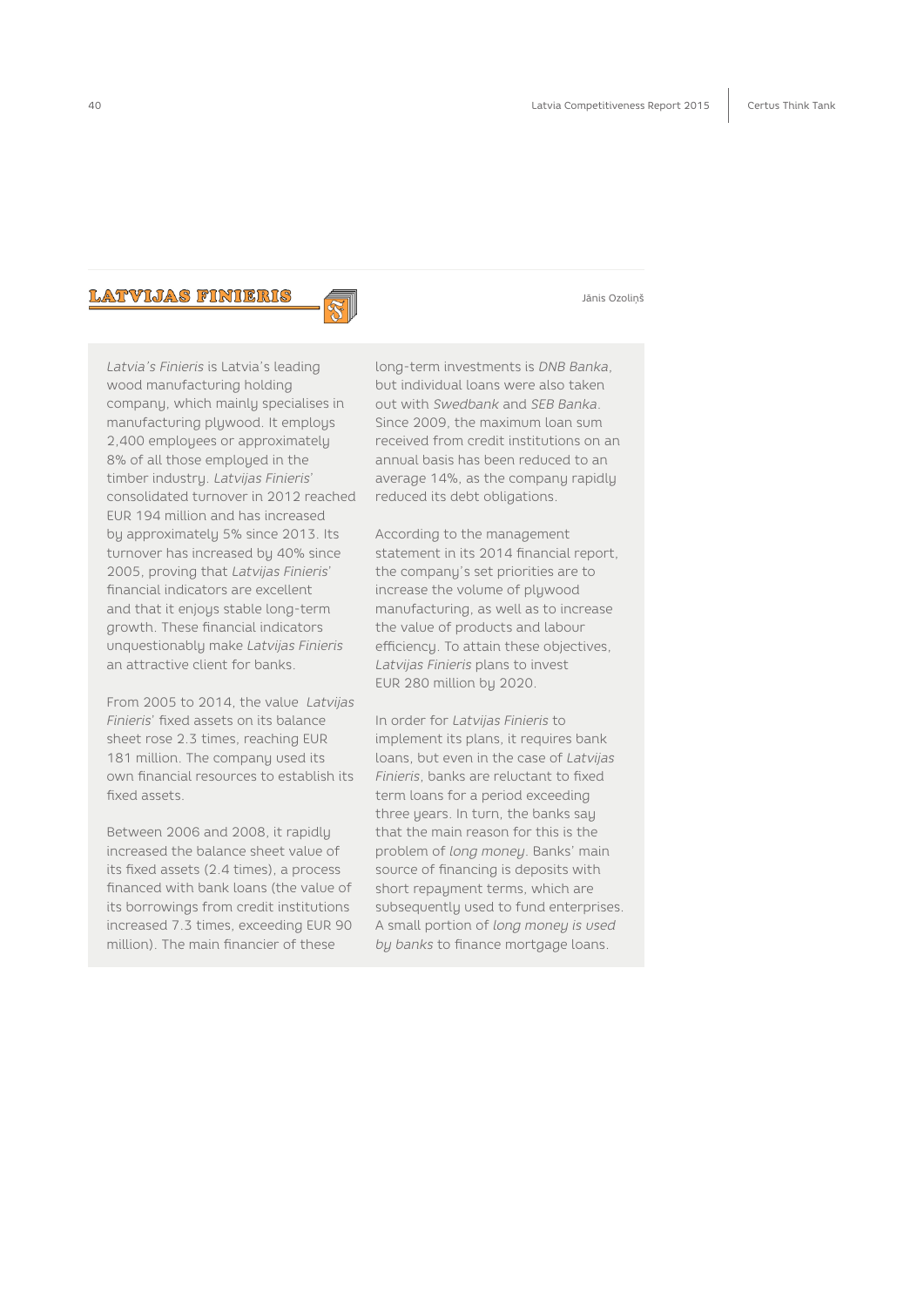#### **LATVIJAS FINIERIS**

Jānis Ozoliņš

*Latvia's Finieris* is Latvia's leading wood manufacturing holding company, which mainly specialises in manufacturing plywood. It employs 2,400 employees or approximately 8% of all those employed in the timber industry. *Latvijas Finieris*' consolidated turnover in 2012 reached EUR 194 million and has increased by approximately 5% since 2013. Its turnover has increased by 40% since 2005, proving that *Latvijas Finieris*' financial indicators are excellent and that it enjoys stable long-term growth. These financial indicators unquestionably make *Latvijas Finieris* an attractive client for banks.

From 2005 to 2014, the value *Latvijas Finieris*' fixed assets on its balance sheet rose 2.3 times, reaching EUR 181 million. The company used its own financial resources to establish its fixed assets.

Between 2006 and 2008, it rapidly increased the balance sheet value of its fixed assets (2.4 times), a process financed with bank loans (the value of its borrowings from credit institutions increased 7.3 times, exceeding EUR 90 million). The main financier of these

long-term investments is *DNB Banka*, but individual loans were also taken out with *Swedbank* and *SEB Banka*. Since 2009, the maximum loan sum received from credit institutions on an annual basis has been reduced to an average 14%, as the company rapidly reduced its debt obligations.

According to the management statement in its 2014 financial report, the company's set priorities are to increase the volume of plywood manufacturing, as well as to increase the value of products and labour efficiency. To attain these objectives, *Latvijas Finieris* plans to invest EUR 280 million by 2020.

In order for *Latvijas Finieris* to implement its plans, it requires bank loans, but even in the case of *Latvijas Finieris*, banks are reluctant to fixed term loans for a period exceeding three years. In turn, the banks say that the main reason for this is the problem of *long money*. Banks' main source of financing is deposits with short repayment terms, which are subsequently used to fund enterprises. A small portion of *long money is used by banks* to finance mortgage loans.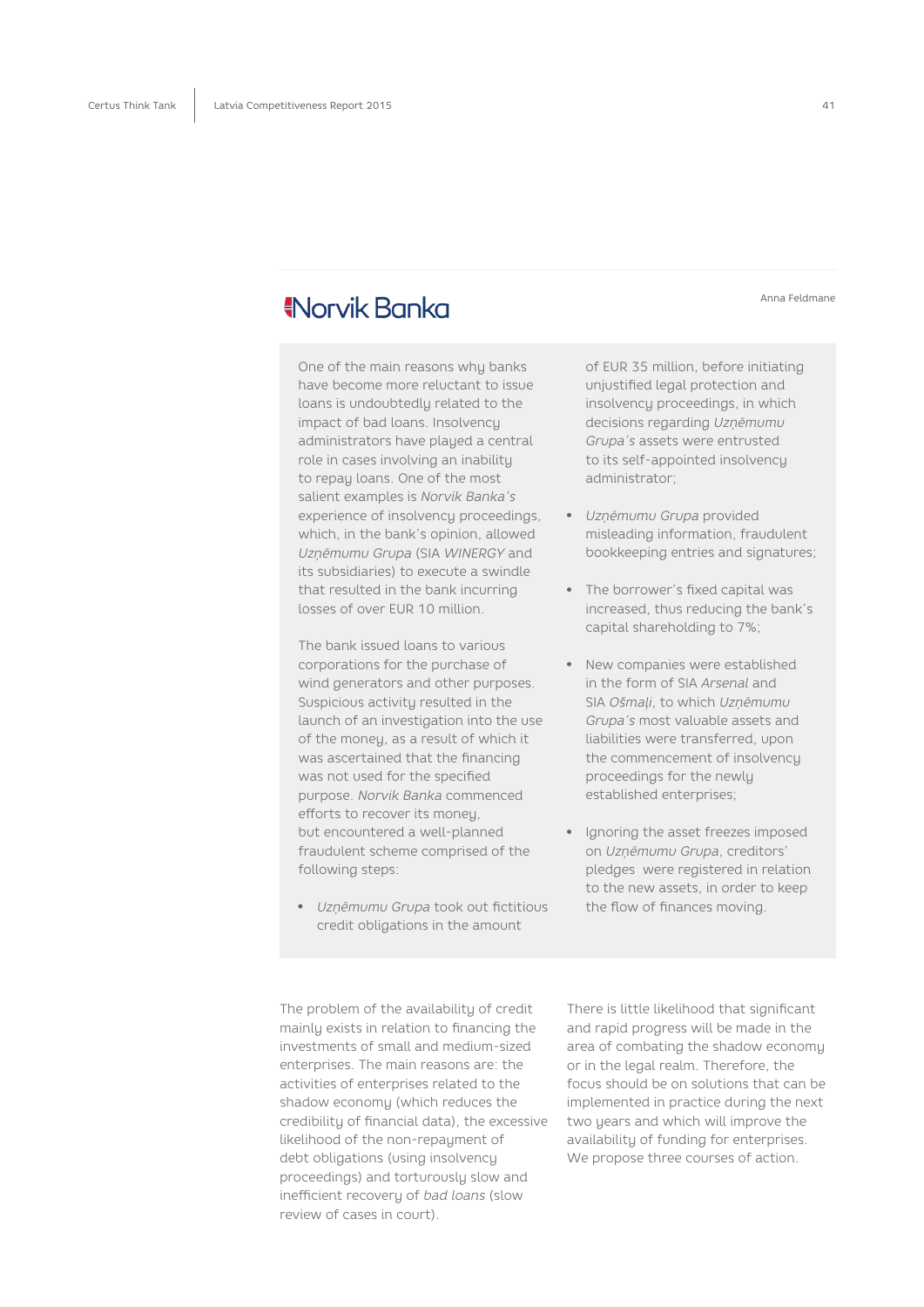# Norvik Banka

One of the main reasons why banks have become more reluctant to issue loans is undoubtedly related to the impact of bad loans. Insolvency administrators have played a central role in cases involving an inability to repay loans. One of the most salient examples is *Norvik Banka's* experience of insolvency proceedings, which, in the bank's opinion, allowed *Uzņēmumu Grupa* (SIA *WINERGY* and its subsidiaries) to execute a swindle that resulted in the bank incurring losses of over EUR 10 million.

The bank issued loans to various corporations for the purchase of wind generators and other purposes. Suspicious activity resulted in the launch of an investigation into the use of the money, as a result of which it was ascertained that the financing was not used for the specified purpose. *Norvik Banka* commenced efforts to recover its money, but encountered a well-planned fraudulent scheme comprised of the following steps:

*Uzņēmumu Grupa* took out fictitious credit obligations in the amount

of EUR 35 million, before initiating unjustified legal protection and insolvency proceedings, in which decisions regarding *Uzņēmumu Grupa's* assets were entrusted to its self-appointed insolvency administrator;

- *Uzņēmumu Grupa* provided misleading information, fraudulent bookkeeping entries and signatures;
- The borrower's fixed capital was increased, thus reducing the bank's capital shareholding to 7%;
- New companies were established in the form of SIA *Arsenal* and SIA *Ošmaļi*, to which *Uzņēmumu Grupa's* most valuable assets and liabilities were transferred, upon the commencement of insolvency proceedings for the newly established enterprises;
- Ignoring the asset freezes imposed on *Uzņēmumu Grupa*, creditors' pledges were registered in relation to the new assets, in order to keep the flow of finances moving.

The problem of the availability of credit mainly exists in relation to financing the investments of small and medium-sized enterprises. The main reasons are: the activities of enterprises related to the shadow economy (which reduces the credibility of financial data), the excessive likelihood of the non-repayment of debt obligations (using insolvency proceedings) and torturously slow and inefficient recovery of *bad loans* (slow review of cases in court).

There is little likelihood that significant and rapid progress will be made in the area of combating the shadow economy or in the legal realm. Therefore, the focus should be on solutions that can be implemented in practice during the next two years and which will improve the availability of funding for enterprises. We propose three courses of action.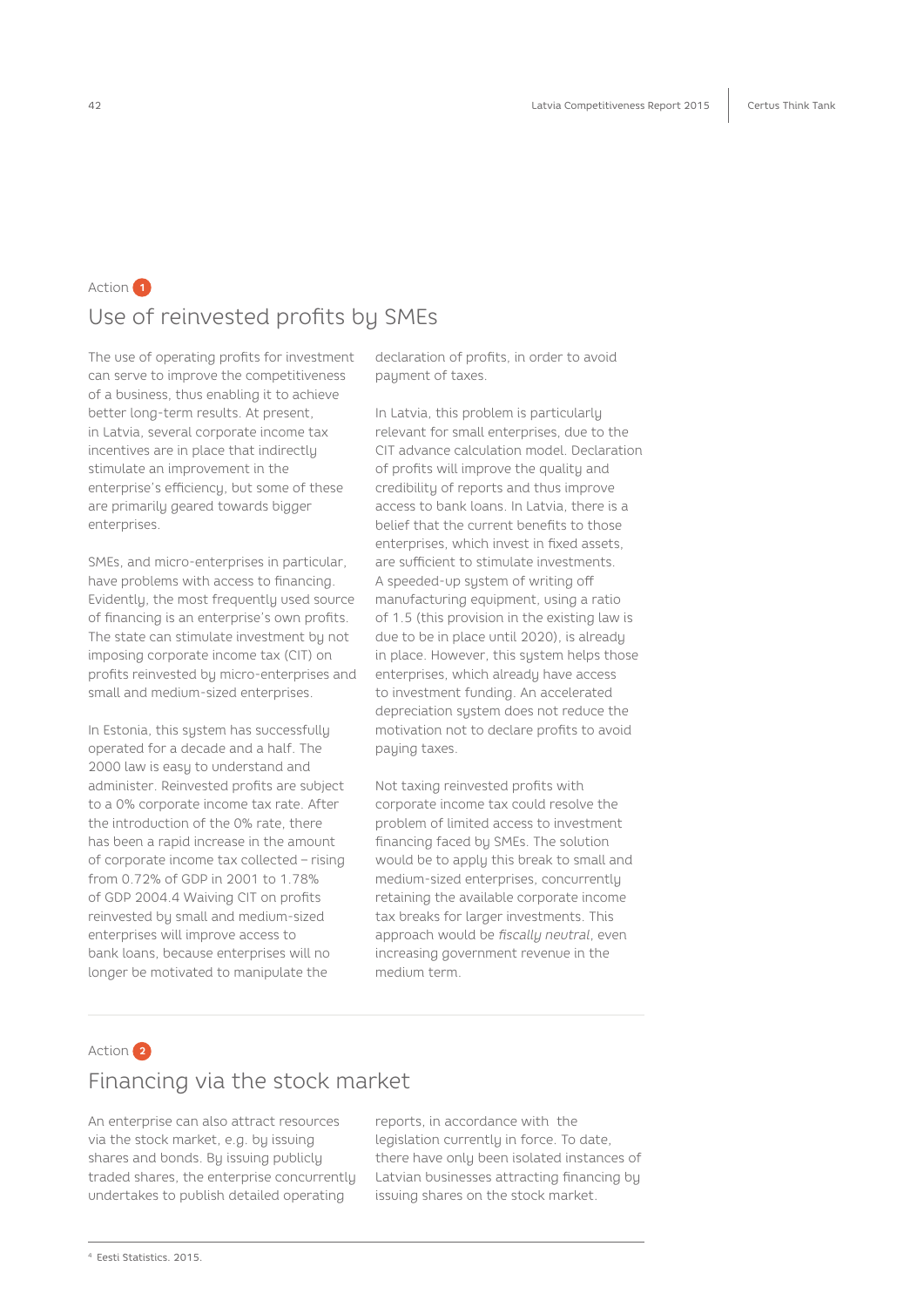#### Action **1**

# Use of reinvested profits by SMEs

The use of operating profits for investment can serve to improve the competitiveness of a business, thus enabling it to achieve better long-term results. At present, in Latvia, several corporate income tax incentives are in place that indirectly stimulate an improvement in the enterprise's efficiency, but some of these are primarily geared towards bigger enterprises.

SMEs, and micro-enterprises in particular, have problems with access to financing. Evidently, the most frequently used source of financing is an enterprise's own profits. The state can stimulate investment by not imposing corporate income tax (CIT) on profits reinvested by micro-enterprises and small and medium-sized enterprises.

In Estonia, this system has successfully operated for a decade and a half. The 2000 law is easy to understand and administer. Reinvested profits are subject to a 0% corporate income tax rate. After the introduction of the 0% rate, there has been a rapid increase in the amount of corporate income tax collected – rising from 0.72% of GDP in 2001 to 1.78% of GDP 2004.4 Waiving CIT on profits reinvested by small and medium-sized enterprises will improve access to bank loans, because enterprises will no longer be motivated to manipulate the

declaration of profits, in order to avoid payment of taxes.

In Latvia, this problem is particularly relevant for small enterprises, due to the CIT advance calculation model. Declaration of profits will improve the quality and credibility of reports and thus improve access to bank loans. In Latvia, there is a belief that the current benefits to those enterprises, which invest in fixed assets, are sufficient to stimulate investments. A speeded-up sustem of writing off manufacturing equipment, using a ratio of 1.5 (this provision in the existing law is due to be in place until 2020), is already in place. However, this system helps those enterprises, which already have access to investment funding. An accelerated depreciation sustem does not reduce the motivation not to declare profits to avoid pauing taxes.

Not taxing reinvested profits with corporate income tax could resolve the problem of limited access to investment financing faced by SMEs. The solution would be to apply this break to small and medium-sized enterprises, concurrently retaining the available corporate income tax breaks for larger investments. This approach would be *fiscally neutral*, even increasing government revenue in the medium term.

#### Action **2**

# Financing via the stock market

An enterprise can also attract resources via the stock market, e.g. by issuing shares and bonds. By issuing publicly traded shares, the enterprise concurrently undertakes to publish detailed operating

reports, in accordance with the legislation currently in force. To date, there have only been isolated instances of Latvian businesses attracting financing by issuing shares on the stock market.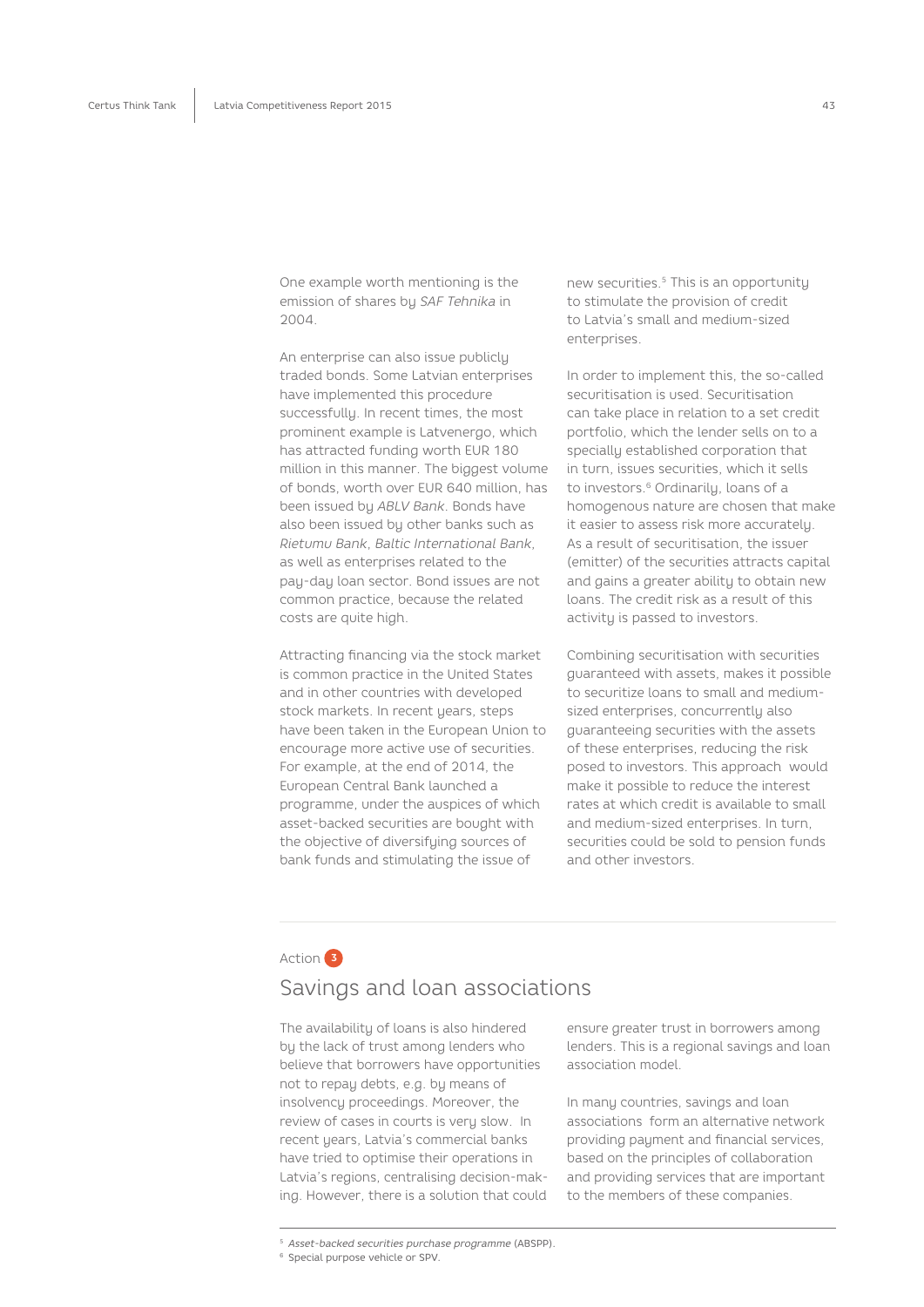One example worth mentioning is the emission of shares by *SAF Tehnika* in 2004.

An enterprise can also issue publicly traded bonds. Some Latvian enterprises have implemented this procedure successfully. In recent times, the most prominent example is Latvenergo, which has attracted funding worth EUR 180 million in this manner. The biggest volume of bonds, worth over EUR 640 million, has been issued by *ABLV Bank*. Bonds have also been issued by other banks such as *Rietumu Bank*, *Baltic International Bank*, as well as enterprises related to the pay-day loan sector. Bond issues are not common practice, because the related costs are quite high.

Attracting financing via the stock market is common practice in the United States and in other countries with developed stock markets. In recent years, steps have been taken in the European Union to encourage more active use of securities. For example, at the end of 2014, the European Central Bank launched a programme, under the auspices of which asset-backed securities are bought with the objective of diversifuing sources of bank funds and stimulating the issue of

new securities.<sup>5</sup> This is an opportunity to stimulate the provision of credit to Latvia's small and medium-sized enterprises.

In order to implement this, the so-called securitisation is used. Securitisation can take place in relation to a set credit portfolio, which the lender sells on to a specially established corporation that in turn, issues securities, which it sells to investors.<sup>6</sup> Ordinarily, loans of a homogenous nature are chosen that make it easier to assess risk more accurately. As a result of securitisation, the issuer (emitter) of the securities attracts capital and gains a greater ability to obtain new loans. The credit risk as a result of this activity is passed to investors.

Combining securitisation with securities guaranteed with assets, makes it possible to securitize loans to small and mediumsized enterprises, concurrently also guaranteeing securities with the assets of these enterprises, reducing the risk posed to investors. This approach would make it possible to reduce the interest rates at which credit is available to small and medium-sized enterprises. In turn, securities could be sold to pension funds and other investors.

#### Action **3**

### Savings and loan associations

The availability of loans is also hindered by the lack of trust among lenders who believe that borrowers have opportunities not to repay debts, e.g. by means of insolvencu proceedings. Moreover, the review of cases in courts is very slow. In recent years, Latvia's commercial banks have tried to optimise their operations in Latvia's regions, centralising decision-making. However, there is a solution that could ensure greater trust in borrowers among lenders. This is a regional savings and loan association model.

In many countries, savings and loan associations form an alternative network providing payment and financial services, based on the principles of collaboration and providing services that are important to the members of these companies.

<sup>5</sup> *Asset-backed securities purchase programme* (ABSPP).

<sup>6</sup> Special purpose vehicle or SPV.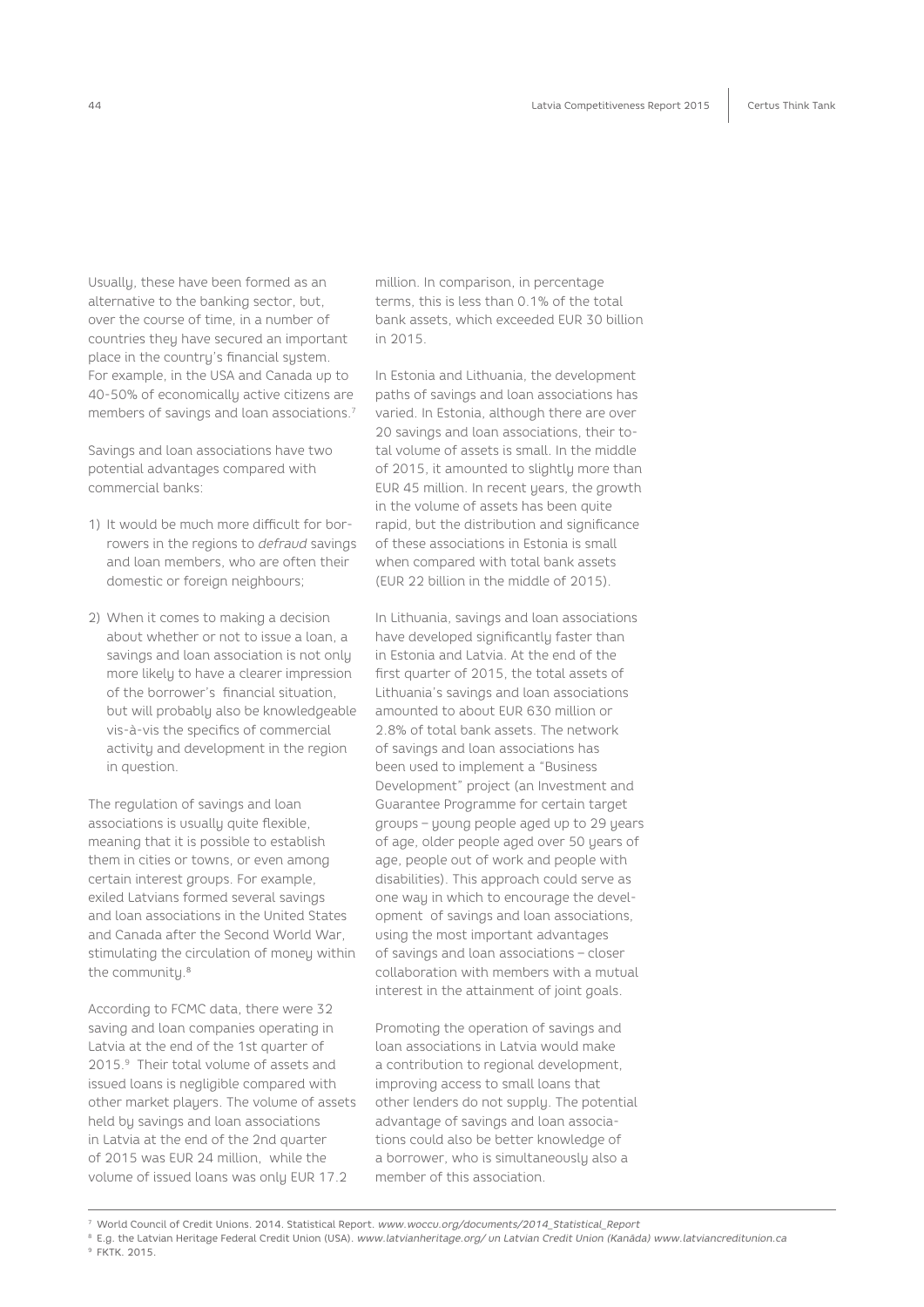Usually, these have been formed as an alternative to the banking sector, but, over the course of time, in a number of countries they have secured an important place in the country's financial system. For example, in the USA and Canada up to 40-50% of economically active citizens are members of savings and loan associations.7

Savings and loan associations have two potential advantages compared with commercial banks:

- 1) It would be much more difficult for borrowers in the regions to *defraud* savings and loan members, who are often their domestic or foreign neighbours;
- 2) When it comes to making a decision about whether or not to issue a loan, a savings and loan association is not only more likely to have a clearer impression of the borrower's financial situation, but will probably also be knowledgeable vis-à-vis the specifics of commercial activity and development in the region in question.

The regulation of savings and loan associations is usually quite flexible, meaning that it is possible to establish them in cities or towns, or even among certain interest groups. For example, exiled Latvians formed several savings and loan associations in the United States and Canada after the Second World War, stimulating the circulation of money within the community.<sup>8</sup>

According to FCMC data, there were 32 saving and loan companies operating in Latvia at the end of the 1st quarter of 2015.9 Their total volume of assets and issued loans is negligible compared with other market players. The volume of assets held by savings and loan associations in Latvia at the end of the 2nd quarter of 2015 was EUR 24 million, while the volume of issued loans was only EUR 17.2

million. In comparison, in percentage terms, this is less than 0.1% of the total bank assets, which exceeded EUR 30 billion in 2015.

In Estonia and Lithuania, the development paths of savings and loan associations has varied. In Estonia, although there are over 20 savings and loan associations, their total volume of assets is small. In the middle of 2015, it amounted to slightly more than EUR 45 million. In recent years, the growth in the volume of assets has been quite rapid, but the distribution and significance of these associations in Estonia is small when compared with total bank assets (EUR 22 billion in the middle of 2015).

In Lithuania, savings and loan associations have developed significantly faster than in Estonia and Latvia. At the end of the first quarter of 2015, the total assets of Lithuania's savings and loan associations amounted to about EUR 630 million or 2.8% of total bank assets. The network of savings and loan associations has been used to implement a "Business Development" project (an Investment and Guarantee Programme for certain target groups – young people aged up to 29 years of age, older people aged over 50 years of age, people out of work and people with disabilities). This approach could serve as one way in which to encourage the development of savings and loan associations, using the most important advantages of savings and loan associations – closer collaboration with members with a mutual interest in the attainment of joint goals.

Promoting the operation of savings and loan associations in Latvia would make a contribution to regional development, improving access to small loans that other lenders do not supply. The potential advantage of savings and loan associations could also be better knowledge of a borrower, who is simultaneouslu also a member of this association.

<sup>7</sup> World Council of Credit Unions. 2014. Statistical Report. *www.woccu.org/documents/2014\_Statistical\_Report*

<sup>8</sup> E.g. the Latvian Heritage Federal Credit Union (USA). *www.latvianheritage.org/ un Latvian Credit Union (Kanāda) www.latviancreditunion.ca* <sup>9</sup> FKTK 2015